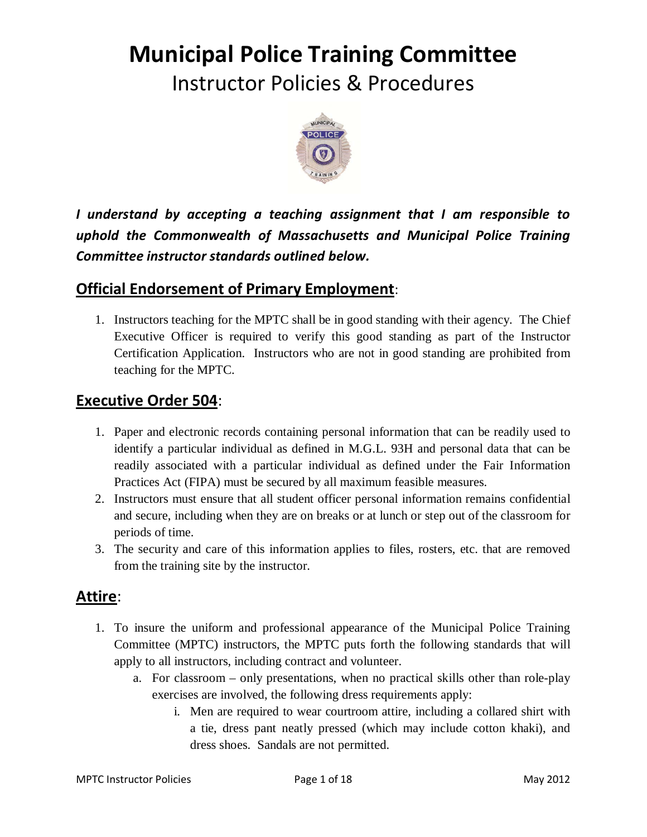# **Municipal Police Training Committee**

Instructor Policies & Procedures



*I understand by accepting a teaching assignment that I am responsible to uphold the Commonwealth of Massachusetts and Municipal Police Training Committee instructor standards outlined below.* 

# **Official Endorsement of Primary Employment**:

1. Instructors teaching for the MPTC shall be in good standing with their agency. The Chief Executive Officer is required to verify this good standing as part of the Instructor Certification Application. Instructors who are not in good standing are prohibited from teaching for the MPTC.

# **Executive Order 504**:

- 1. Paper and electronic records containing personal information that can be readily used to identify a particular individual as defined in M.G.L. 93H and personal data that can be readily associated with a particular individual as defined under the Fair Information Practices Act (FIPA) must be secured by all maximum feasible measures.
- 2. Instructors must ensure that all student officer personal information remains confidential and secure, including when they are on breaks or at lunch or step out of the classroom for periods of time.
- 3. The security and care of this information applies to files, rosters, etc. that are removed from the training site by the instructor.

# **Attire**:

- 1. To insure the uniform and professional appearance of the Municipal Police Training Committee (MPTC) instructors, the MPTC puts forth the following standards that will apply to all instructors, including contract and volunteer.
	- a. For classroom only presentations, when no practical skills other than role-play exercises are involved, the following dress requirements apply:
		- i. Men are required to wear courtroom attire, including a collared shirt with a tie, dress pant neatly pressed (which may include cotton khaki), and dress shoes. Sandals are not permitted.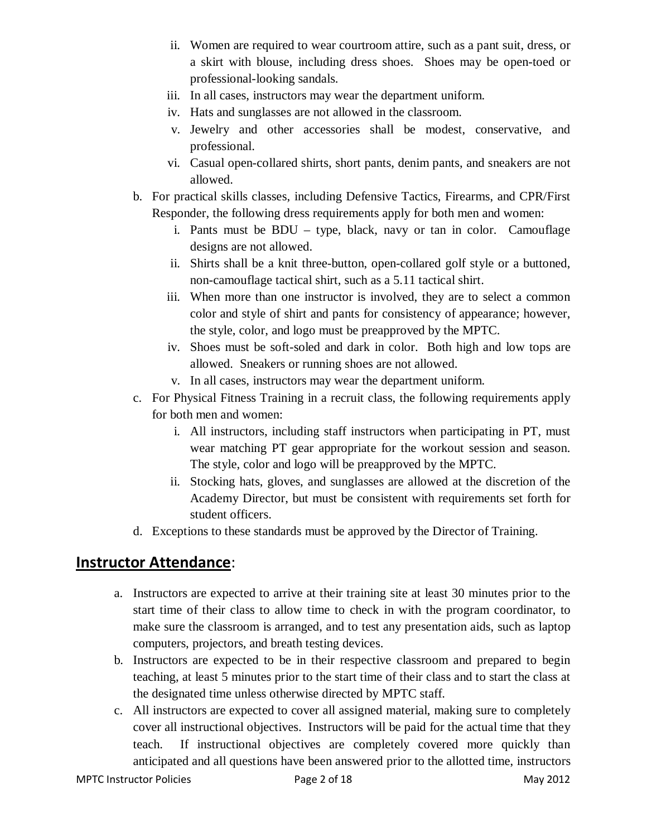- ii. Women are required to wear courtroom attire, such as a pant suit, dress, or a skirt with blouse, including dress shoes. Shoes may be open-toed or professional-looking sandals.
- iii. In all cases, instructors may wear the department uniform.
- iv. Hats and sunglasses are not allowed in the classroom.
- v. Jewelry and other accessories shall be modest, conservative, and professional.
- vi. Casual open-collared shirts, short pants, denim pants, and sneakers are not allowed.
- b. For practical skills classes, including Defensive Tactics, Firearms, and CPR/First Responder, the following dress requirements apply for both men and women:
	- i. Pants must be BDU type, black, navy or tan in color. Camouflage designs are not allowed.
	- ii. Shirts shall be a knit three-button, open-collared golf style or a buttoned, non-camouflage tactical shirt, such as a 5.11 tactical shirt.
	- iii. When more than one instructor is involved, they are to select a common color and style of shirt and pants for consistency of appearance; however, the style, color, and logo must be preapproved by the MPTC.
	- iv. Shoes must be soft-soled and dark in color. Both high and low tops are allowed. Sneakers or running shoes are not allowed.
	- v. In all cases, instructors may wear the department uniform.
- c. For Physical Fitness Training in a recruit class, the following requirements apply for both men and women:
	- i. All instructors, including staff instructors when participating in PT, must wear matching PT gear appropriate for the workout session and season. The style, color and logo will be preapproved by the MPTC.
	- ii. Stocking hats, gloves, and sunglasses are allowed at the discretion of the Academy Director, but must be consistent with requirements set forth for student officers.
- d. Exceptions to these standards must be approved by the Director of Training.

# **Instructor Attendance**:

- a. Instructors are expected to arrive at their training site at least 30 minutes prior to the start time of their class to allow time to check in with the program coordinator, to make sure the classroom is arranged, and to test any presentation aids, such as laptop computers, projectors, and breath testing devices.
- b. Instructors are expected to be in their respective classroom and prepared to begin teaching, at least 5 minutes prior to the start time of their class and to start the class at the designated time unless otherwise directed by MPTC staff.
- c. All instructors are expected to cover all assigned material, making sure to completely cover all instructional objectives. Instructors will be paid for the actual time that they teach. If instructional objectives are completely covered more quickly than anticipated and all questions have been answered prior to the allotted time, instructors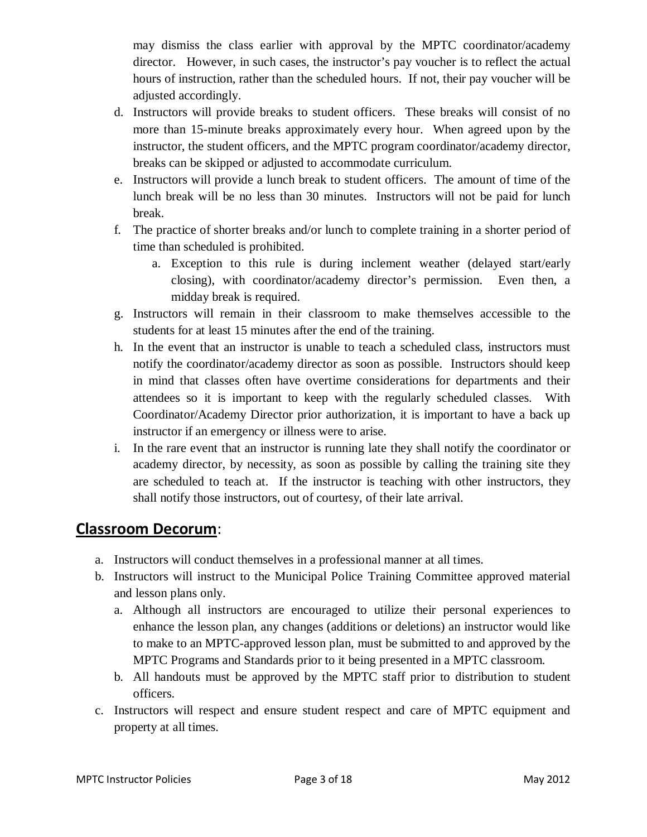may dismiss the class earlier with approval by the MPTC coordinator/academy director. However, in such cases, the instructor's pay voucher is to reflect the actual hours of instruction, rather than the scheduled hours. If not, their pay voucher will be adjusted accordingly.

- d. Instructors will provide breaks to student officers. These breaks will consist of no more than 15-minute breaks approximately every hour. When agreed upon by the instructor, the student officers, and the MPTC program coordinator/academy director, breaks can be skipped or adjusted to accommodate curriculum.
- e. Instructors will provide a lunch break to student officers. The amount of time of the lunch break will be no less than 30 minutes. Instructors will not be paid for lunch break.
- f. The practice of shorter breaks and/or lunch to complete training in a shorter period of time than scheduled is prohibited.
	- a. Exception to this rule is during inclement weather (delayed start/early closing), with coordinator/academy director's permission. Even then, a midday break is required.
- g. Instructors will remain in their classroom to make themselves accessible to the students for at least 15 minutes after the end of the training.
- h. In the event that an instructor is unable to teach a scheduled class, instructors must notify the coordinator/academy director as soon as possible. Instructors should keep in mind that classes often have overtime considerations for departments and their attendees so it is important to keep with the regularly scheduled classes. With Coordinator/Academy Director prior authorization, it is important to have a back up instructor if an emergency or illness were to arise.
- i. In the rare event that an instructor is running late they shall notify the coordinator or academy director, by necessity, as soon as possible by calling the training site they are scheduled to teach at. If the instructor is teaching with other instructors, they shall notify those instructors, out of courtesy, of their late arrival.

# **Classroom Decorum**:

- a. Instructors will conduct themselves in a professional manner at all times.
- b. Instructors will instruct to the Municipal Police Training Committee approved material and lesson plans only.
	- a. Although all instructors are encouraged to utilize their personal experiences to enhance the lesson plan, any changes (additions or deletions) an instructor would like to make to an MPTC-approved lesson plan, must be submitted to and approved by the MPTC Programs and Standards prior to it being presented in a MPTC classroom.
	- b. All handouts must be approved by the MPTC staff prior to distribution to student officers.
- c. Instructors will respect and ensure student respect and care of MPTC equipment and property at all times.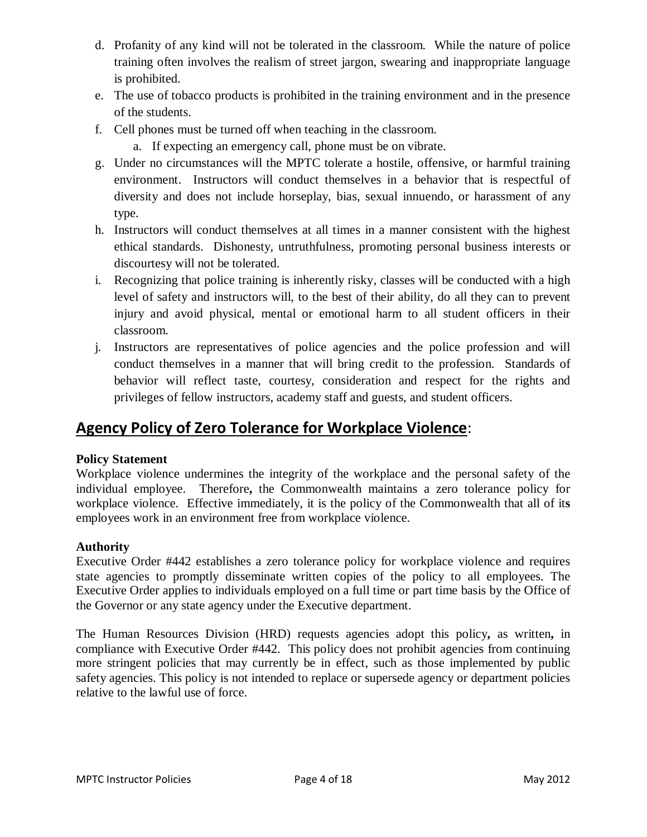- d. Profanity of any kind will not be tolerated in the classroom. While the nature of police training often involves the realism of street jargon, swearing and inappropriate language is prohibited.
- e. The use of tobacco products is prohibited in the training environment and in the presence of the students.
- f. Cell phones must be turned off when teaching in the classroom.
	- a. If expecting an emergency call, phone must be on vibrate.
- g. Under no circumstances will the MPTC tolerate a hostile, offensive, or harmful training environment. Instructors will conduct themselves in a behavior that is respectful of diversity and does not include horseplay, bias, sexual innuendo, or harassment of any type.
- h. Instructors will conduct themselves at all times in a manner consistent with the highest ethical standards. Dishonesty, untruthfulness, promoting personal business interests or discourtesy will not be tolerated.
- i. Recognizing that police training is inherently risky, classes will be conducted with a high level of safety and instructors will, to the best of their ability, do all they can to prevent injury and avoid physical, mental or emotional harm to all student officers in their classroom.
- j. Instructors are representatives of police agencies and the police profession and will conduct themselves in a manner that will bring credit to the profession. Standards of behavior will reflect taste, courtesy, consideration and respect for the rights and privileges of fellow instructors, academy staff and guests, and student officers.

# **Agency Policy of Zero Tolerance for Workplace Violence**:

## **Policy Statement**

Workplace violence undermines the integrity of the workplace and the personal safety of the individual employee. Therefore**,** the Commonwealth maintains a zero tolerance policy for workplace violence. Effective immediately, it is the policy of the Commonwealth that all of it**s**  employees work in an environment free from workplace violence.

## **Authority**

Executive Order #442 establishes a zero tolerance policy for workplace violence and requires state agencies to promptly disseminate written copies of the policy to all employees. The Executive Order applies to individuals employed on a full time or part time basis by the Office of the Governor or any state agency under the Executive department.

The Human Resources Division (HRD) requests agencies adopt this policy**,** as written**,** in compliance with Executive Order #442. This policy does not prohibit agencies from continuing more stringent policies that may currently be in effect, such as those implemented by public safety agencies. This policy is not intended to replace or supersede agency or department policies relative to the lawful use of force.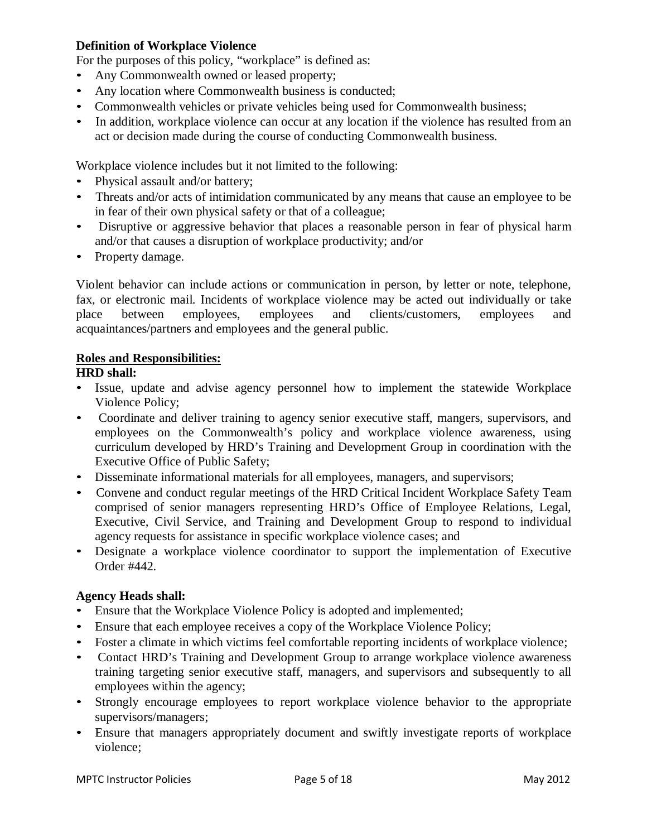#### **Definition of Workplace Violence**

For the purposes of this policy, "workplace" is defined as:

- Any Commonwealth owned or leased property;
- Any location where Commonwealth business is conducted;
- Commonwealth vehicles or private vehicles being used for Commonwealth business;
- In addition, workplace violence can occur at any location if the violence has resulted from an act or decision made during the course of conducting Commonwealth business.

Workplace violence includes but it not limited to the following:

- Physical assault and/or battery:
- Threats and/or acts of intimidation communicated by any means that cause an employee to be in fear of their own physical safety or that of a colleague;
- Disruptive or aggressive behavior that places a reasonable person in fear of physical harm and/or that causes a disruption of workplace productivity; and/or
- Property damage.

Violent behavior can include actions or communication in person, by letter or note, telephone, fax, or electronic mail. Incidents of workplace violence may be acted out individually or take place between employees, employees and clients/customers, employees and acquaintances/partners and employees and the general public.

#### **Roles and Responsibilities:**

#### **HRD shall:**

- Issue, update and advise agency personnel how to implement the statewide Workplace Violence Policy;
- Coordinate and deliver training to agency senior executive staff, mangers, supervisors, and employees on the Commonwealth's policy and workplace violence awareness, using curriculum developed by HRD's Training and Development Group in coordination with the Executive Office of Public Safety;
- Disseminate informational materials for all employees, managers, and supervisors;
- Convene and conduct regular meetings of the HRD Critical Incident Workplace Safety Team comprised of senior managers representing HRD's Office of Employee Relations, Legal, Executive*,* Civil Service, and Training and Development Group to respond to individual agency requests for assistance in specific workplace violence cases; and
- Designate a workplace violence coordinator to support the implementation of Executive Order #442.

#### **Agency Heads shall:**

- Ensure that the Workplace Violence Policy is adopted and implemented;
- Ensure that each employee receives a copy of the Workplace Violence Policy;
- Foster a climate in which victims feel comfortable reporting incidents of workplace violence;
- Contact HRD's Training and Development Group to arrange workplace violence awareness training targeting senior executive staff, managers, and supervisors and subsequently to all employees within the agency;
- Strongly encourage employees to report workplace violence behavior to the appropriate supervisors/managers;
- Ensure that managers appropriately document and swiftly investigate reports of workplace violence;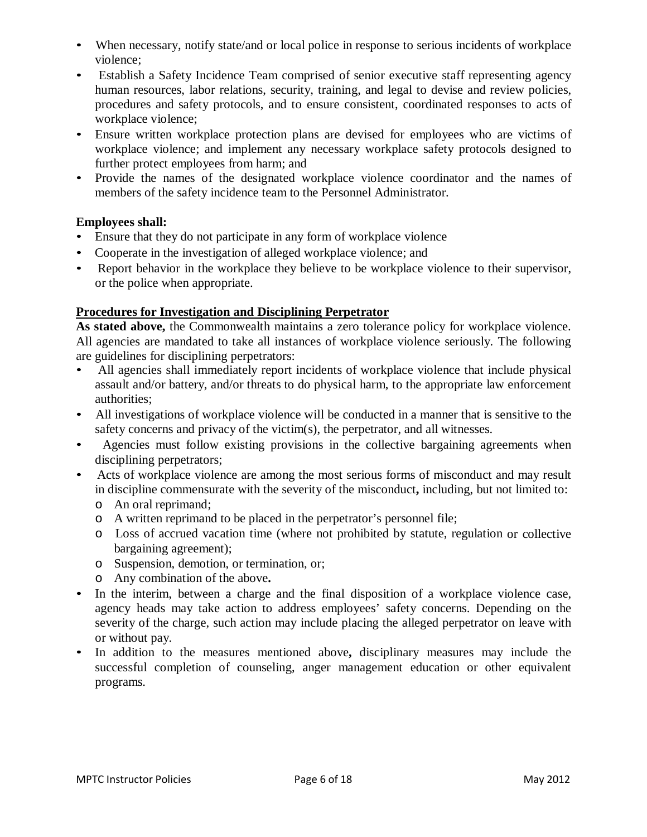- When necessary, notify state/and or local police in response to serious incidents of workplace violence;
- Establish a Safety Incidence Team comprised of senior executive staff representing agency human resources, labor relations, security, training, and legal to devise and review policies, procedures and safety protocols, and to ensure consistent, coordinated responses to acts of workplace violence;
- Ensure written workplace protection plans are devised for employees who are victims of workplace violence; and implement any necessary workplace safety protocols designed to further protect employees from harm; and
- Provide the names of the designated workplace violence coordinator and the names of members of the safety incidence team to the Personnel Administrator.

### **Employees shall:**

- Ensure that they do not participate in any form of workplace violence
- Cooperate in the investigation of alleged workplace violence; and
- Report behavior in the workplace they believe to be workplace violence to their supervisor, or the police when appropriate.

### **Procedures for Investigation and Disciplining Perpetrator**

**As stated above,** the Commonwealth maintains a zero tolerance policy for workplace violence. All agencies are mandated to take all instances of workplace violence seriously. The following are guidelines for disciplining perpetrators:

- All agencies shall immediately report incidents of workplace violence that include physical assault and/or battery, and/or threats to do physical harm, to the appropriate law enforcement authorities;
- All investigations of workplace violence will be conducted in a manner that is sensitive to the safety concerns and privacy of the victim(s), the perpetrator, and all witnesses.
- Agencies must follow existing provisions in the collective bargaining agreements when disciplining perpetrators;
- Acts of workplace violence are among the most serious forms of misconduct and may result in discipline commensurate with the severity of the misconduct**,** including, but not limited to:
	- o An oral reprimand;
	- o A written reprimand to be placed in the perpetrator's personnel file;
	- o Loss of accrued vacation time (where not prohibited by statute, regulation or collective bargaining agreement);
	- o Suspension, demotion, or termination, or;
	- o Any combination of the above**.**
- In the interim, between a charge and the final disposition of a workplace violence case, agency heads may take action to address employees' safety concerns. Depending on the severity of the charge, such action may include placing the alleged perpetrator on leave with or without pay.
- In addition to the measures mentioned above**,** disciplinary measures may include the successful completion of counseling, anger management education or other equivalent programs.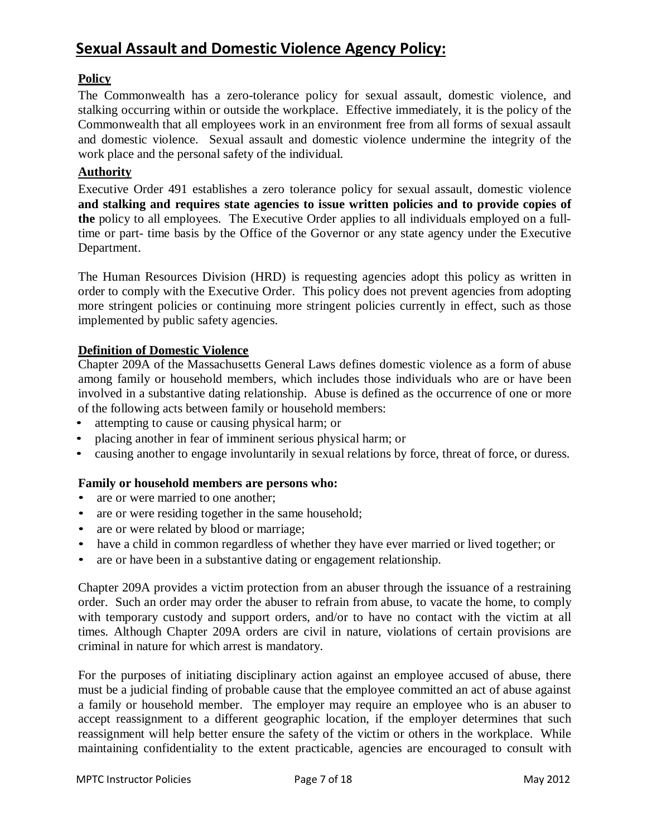# **Sexual Assault and Domestic Violence Agency Policy:**

### **Policy**

The Commonwealth has a zero-tolerance policy for sexual assault, domestic violence, and stalking occurring within or outside the workplace. Effective immediately, it is the policy of the Commonwealth that all employees work in an environment free from all forms of sexual assault and domestic violence. Sexual assault and domestic violence undermine the integrity of the work place and the personal safety of the individual.

#### **Authority**

Executive Order 491 establishes a zero tolerance policy for sexual assault, domestic violence **and stalking and requires state agencies to issue written policies and to provide copies of the** policy to all employees. The Executive Order applies to all individuals employed on a fulltime or part- time basis by the Office of the Governor or any state agency under the Executive Department.

The Human Resources Division (HRD) is requesting agencies adopt this policy as written in order to comply with the Executive Order. This policy does not prevent agencies from adopting more stringent policies or continuing more stringent policies currently in effect, such as those implemented by public safety agencies.

#### **Definition of Domestic Violence**

Chapter 209A of the Massachusetts General Laws defines domestic violence as a form of abuse among family or household members, which includes those individuals who are or have been involved in a substantive dating relationship. Abuse is defined as the occurrence of one or more of the following acts between family or household members:

- attempting to cause or causing physical harm; or
- placing another in fear of imminent serious physical harm; or
- causing another to engage involuntarily in sexual relations by force, threat of force, or duress.

#### **Family or household members are persons who:**

- are or were married to one another;
- are or were residing together in the same household;
- are or were related by blood or marriage;
- have a child in common regardless of whether they have ever married or lived together; or
- are or have been in a substantive dating or engagement relationship.

Chapter 209A provides a victim protection from an abuser through the issuance of a restraining order. Such an order may order the abuser to refrain from abuse, to vacate the home, to comply with temporary custody and support orders, and/or to have no contact with the victim at all times. Although Chapter 209A orders are civil in nature, violations of certain provisions are criminal in nature for which arrest is mandatory.

For the purposes of initiating disciplinary action against an employee accused of abuse, there must be a judicial finding of probable cause that the employee committed an act of abuse against a family or household member. The employer may require an employee who is an abuser to accept reassignment to a different geographic location, if the employer determines that such reassignment will help better ensure the safety of the victim or others in the workplace. While maintaining confidentiality to the extent practicable, agencies are encouraged to consult with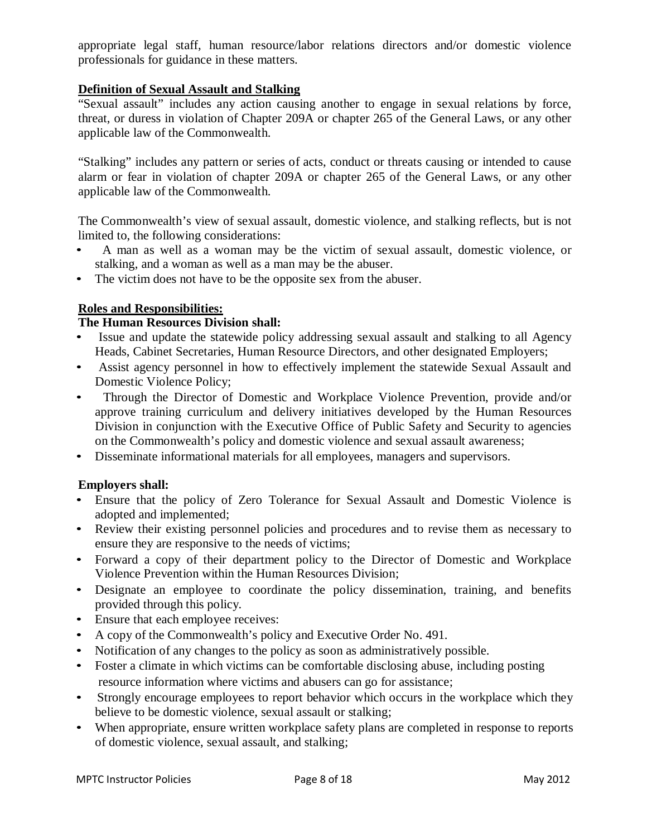appropriate legal staff, human resource/labor relations directors and/or domestic violence professionals for guidance in these matters.

### **Definition of Sexual Assault and Stalking**

"Sexual assault" includes any action causing another to engage in sexual relations by force, threat, or duress in violation of Chapter 209A or chapter 265 of the General Laws, or any other applicable law of the Commonwealth.

"Stalking" includes any pattern or series of acts, conduct or threats causing or intended to cause alarm or fear in violation of chapter 209A or chapter 265 of the General Laws, or any other applicable law of the Commonwealth.

The Commonwealth's view of sexual assault, domestic violence, and stalking reflects, but is not limited to, the following considerations:

- A man as well as a woman may be the victim of sexual assault, domestic violence, or stalking, and a woman as well as a man may be the abuser.
- The victim does not have to be the opposite sex from the abuser.

### **Roles and Responsibilities:**

#### **The Human Resources Division shall:**

- Issue and update the statewide policy addressing sexual assault and stalking to all Agency Heads, Cabinet Secretaries, Human Resource Directors, and other designated Employers;
- Assist agency personnel in how to effectively implement the statewide Sexual Assault and Domestic Violence Policy;
- Through the Director of Domestic and Workplace Violence Prevention, provide and/or approve training curriculum and delivery initiatives developed by the Human Resources Division in conjunction with the Executive Office of Public Safety and Security to agencies on the Commonwealth's policy and domestic violence and sexual assault awareness;
- Disseminate informational materials for all employees, managers and supervisors.

### **Employers shall:**

- Ensure that the policy of Zero Tolerance for Sexual Assault and Domestic Violence is adopted and implemented;
- Review their existing personnel policies and procedures and to revise them as necessary to ensure they are responsive to the needs of victims;
- Forward a copy of their department policy to the Director of Domestic and Workplace Violence Prevention within the Human Resources Division;
- Designate an employee to coordinate the policy dissemination, training, and benefits provided through this policy.
- Ensure that each employee receives:
- A copy of the Commonwealth's policy and Executive Order No. 491.
- Notification of any changes to the policy as soon as administratively possible.
- Foster a climate in which victims can be comfortable disclosing abuse, including posting resource information where victims and abusers can go for assistance;
- Strongly encourage employees to report behavior which occurs in the workplace which they believe to be domestic violence, sexual assault or stalking;
- When appropriate, ensure written workplace safety plans are completed in response to reports of domestic violence, sexual assault, and stalking;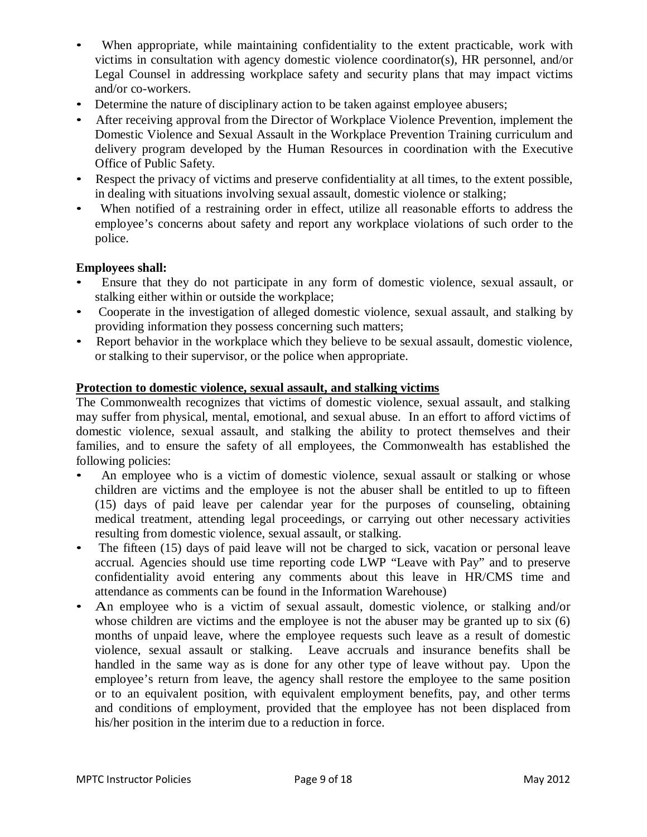- When appropriate, while maintaining confidentiality to the extent practicable, work with victims in consultation with agency domestic violence coordinator(s), HR personnel, and/or Legal Counsel in addressing workplace safety and security plans that may impact victims and/or co-workers.
- Determine the nature of disciplinary action to be taken against employee abusers;
- After receiving approval from the Director of Workplace Violence Prevention, implement the Domestic Violence and Sexual Assault in the Workplace Prevention Training curriculum and delivery program developed by the Human Resources in coordination with the Executive Office of Public Safety.
- Respect the privacy of victims and preserve confidentiality at all times, to the extent possible, in dealing with situations involving sexual assault, domestic violence or stalking;
- When notified of a restraining order in effect, utilize all reasonable efforts to address the employee's concerns about safety and report any workplace violations of such order to the police.

### **Employees shall:**

- Ensure that they do not participate in any form of domestic violence, sexual assault, or stalking either within or outside the workplace;
- Cooperate in the investigation of alleged domestic violence, sexual assault, and stalking by providing information they possess concerning such matters;
- Report behavior in the workplace which they believe to be sexual assault, domestic violence, or stalking to their supervisor, or the police when appropriate.

### **Protection to domestic violence, sexual assault, and stalking victims**

The Commonwealth recognizes that victims of domestic violence, sexual assault, and stalking may suffer from physical, mental, emotional, and sexual abuse. In an effort to afford victims of domestic violence, sexual assault, and stalking the ability to protect themselves and their families, and to ensure the safety of all employees, the Commonwealth has established the following policies:

- An employee who is a victim of domestic violence, sexual assault or stalking or whose children are victims and the employee is not the abuser shall be entitled to up to fifteen (15) days of paid leave per calendar year for the purposes of counseling, obtaining medical treatment, attending legal proceedings, or carrying out other necessary activities resulting from domestic violence, sexual assault, or stalking.
- The fifteen (15) days of paid leave will not be charged to sick, vacation or personal leave accrual. Agencies should use time reporting code LWP "Leave with Pay" and to preserve confidentiality avoid entering any comments about this leave in HR/CMS time and attendance as comments can be found in the Information Warehouse)
- An employee who is a victim of sexual assault, domestic violence, or stalking and/or whose children are victims and the employee is not the abuser may be granted up to six (6) months of unpaid leave, where the employee requests such leave as a result of domestic violence, sexual assault or stalking. Leave accruals and insurance benefits shall be handled in the same way as is done for any other type of leave without pay. Upon the employee's return from leave, the agency shall restore the employee to the same position or to an equivalent position, with equivalent employment benefits, pay, and other terms and conditions of employment, provided that the employee has not been displaced from his/her position in the interim due to a reduction in force.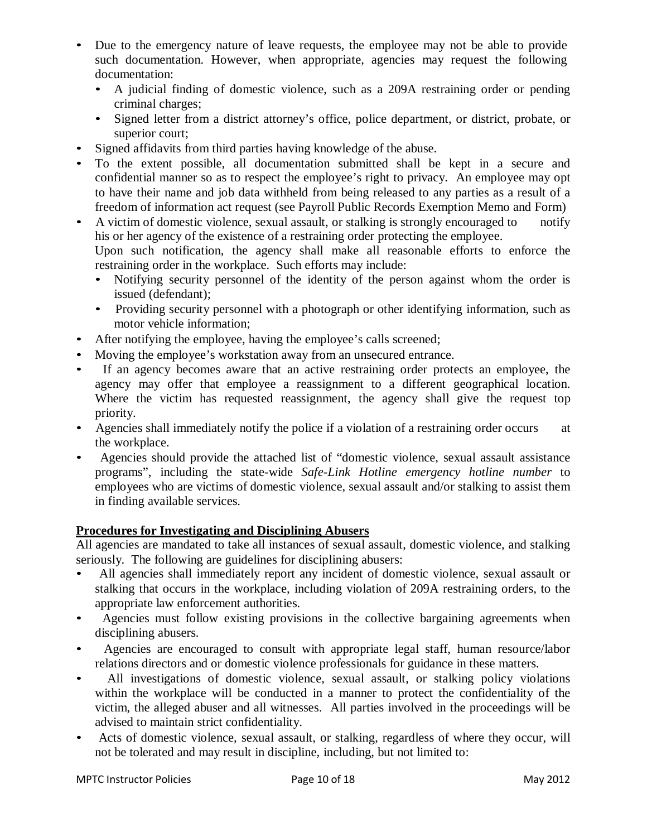- Due to the emergency nature of leave requests, the employee may not be able to provide such documentation. However, when appropriate, agencies may request the following documentation:
	- A judicial finding of domestic violence, such as a 209A restraining order or pending criminal charges;
	- Signed letter from a district attorney's office, police department, or district, probate, or superior court;
- Signed affidavits from third parties having knowledge of the abuse.
- To the extent possible, all documentation submitted shall be kept in a secure and confidential manner so as to respect the employee's right to privacy. An employee may opt to have their name and job data withheld from being released to any parties as a result of a freedom of information act request (see Payroll Public Records Exemption Memo and Form)
- A victim of domestic violence, sexual assault, or stalking is strongly encouraged to notify his or her agency of the existence of a restraining order protecting the employee. Upon such notification, the agency shall make all reasonable efforts to enforce the restraining order in the workplace. Such efforts may include:
	- Notifying security personnel of the identity of the person against whom the order is issued (defendant);
	- Providing security personnel with a photograph or other identifying information, such as motor vehicle information;
- After notifying the employee, having the employee's calls screened;
- Moving the employee's workstation away from an unsecured entrance.
- If an agency becomes aware that an active restraining order protects an employee, the agency may offer that employee a reassignment to a different geographical location. Where the victim has requested reassignment, the agency shall give the request top priority.
- Agencies shall immediately notify the police if a violation of a restraining order occurs at the workplace.
- Agencies should provide the attached list of "domestic violence, sexual assault assistance programs", including the state-wide *Safe-Link Hotline emergency hotline number* to employees who are victims of domestic violence, sexual assault and/or stalking to assist them in finding available services.

### **Procedures for Investigating and Disciplining Abusers**

All agencies are mandated to take all instances of sexual assault, domestic violence, and stalking seriously. The following are guidelines for disciplining abusers:

- All agencies shall immediately report any incident of domestic violence, sexual assault or stalking that occurs in the workplace, including violation of 209A restraining orders, to the appropriate law enforcement authorities.
- Agencies must follow existing provisions in the collective bargaining agreements when disciplining abusers.
- Agencies are encouraged to consult with appropriate legal staff, human resource/labor relations directors and or domestic violence professionals for guidance in these matters.
- All investigations of domestic violence, sexual assault, or stalking policy violations within the workplace will be conducted in a manner to protect the confidentiality of the victim, the alleged abuser and all witnesses. All parties involved in the proceedings will be advised to maintain strict confidentiality.
- Acts of domestic violence, sexual assault, or stalking, regardless of where they occur, will not be tolerated and may result in discipline, including, but not limited to: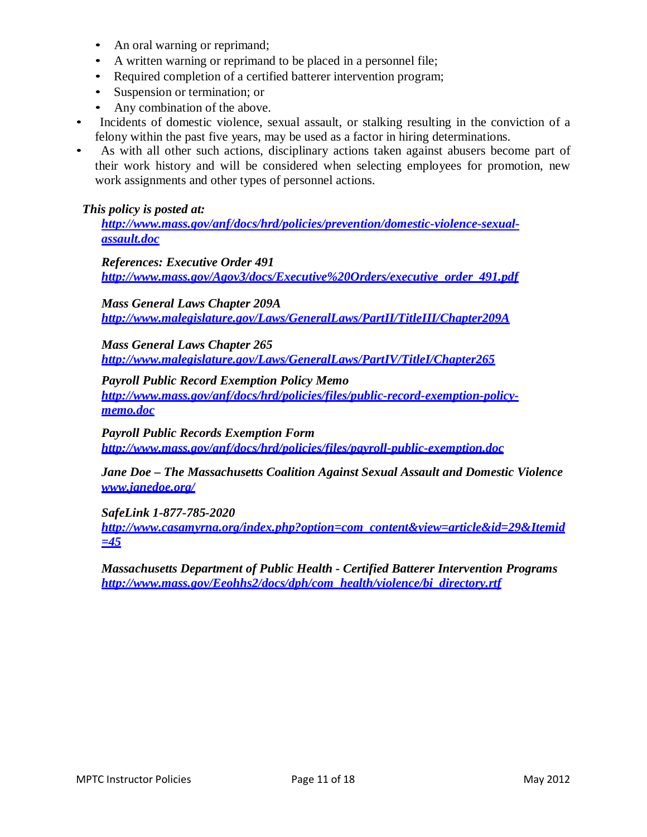- An oral warning or reprimand;
- A written warning or reprimand to be placed in a personnel file;
- Required completion of a certified batterer intervention program;
- Suspension or termination; or
- Any combination of the above.
- Incidents of domestic violence, sexual assault, or stalking resulting in the conviction of a felony within the past five years, may be used as a factor in hiring determinations.
- As with all other such actions, disciplinary actions taken against abusers become part of their work history and will be considered when selecting employees for promotion, new work assignments and other types of personnel actions.

#### *This policy is posted at:*

*[http://www.mass.gov/anf/docs/hrd/policies/prevention/domestic-violence-sexual](http://www.mass.gov/anf/docs/hrd/policies/prevention/domestic-violence-sexual-assault.doc)[assault.doc](http://www.mass.gov/anf/docs/hrd/policies/prevention/domestic-violence-sexual-assault.doc)*

*References: Executive Order 491 [http://www.mass.gov/Agov3/docs/Executive%20Orders/executive\\_order\\_491.pdf](http://www.mass.gov/Agov3/docs/Executive%20Orders/executive_order_491.pdf)*

*Mass General Laws Chapter 209A <http://www.malegislature.gov/Laws/GeneralLaws/PartII/TitleIII/Chapter209A>*

*Mass General Laws Chapter 265 <http://www.malegislature.gov/Laws/GeneralLaws/PartIV/TitleI/Chapter265>*

*Payroll Public Record Exemption Policy Memo [http://www.mass.gov/anf/docs/hrd/policies/files/public-record-exemption-policy](http://www.mass.gov/anf/docs/hrd/policies/files/public-record-exemption-policy-memo.doc)[memo.doc](http://www.mass.gov/anf/docs/hrd/policies/files/public-record-exemption-policy-memo.doc)*

*Payroll Public Records Exemption Form <http://www.mass.gov/anf/docs/hrd/policies/files/payroll-public-exemption.doc>*

*Jane Doe – The Massachusetts Coalition Against Sexual Assault and Domestic Violence [www.janedoe.org/](http://www.janedoe.org/)*

*SafeLink 1-877-785-2020* 

*[http://www.casamyrna.org/index.php?option=com\\_content&view=article&id=29&Itemid](http://www.casamyrna.org/index.php?option=com_content&view=article&id=29&Itemid) [=4](http://www.casamyrna.org/index.php?option=com_content&view=article&id=29&Itemid)5*

*Massachusetts Department of Public Health - Certified Batterer Intervention Programs [http://www.mass.gov/Eeohhs2/docs/dph/com\\_health/violence/bi\\_directory.rtf](http://www.mass.gov/Eeohhs2/docs/dph/com_health/violence/bi_directory.rtf)*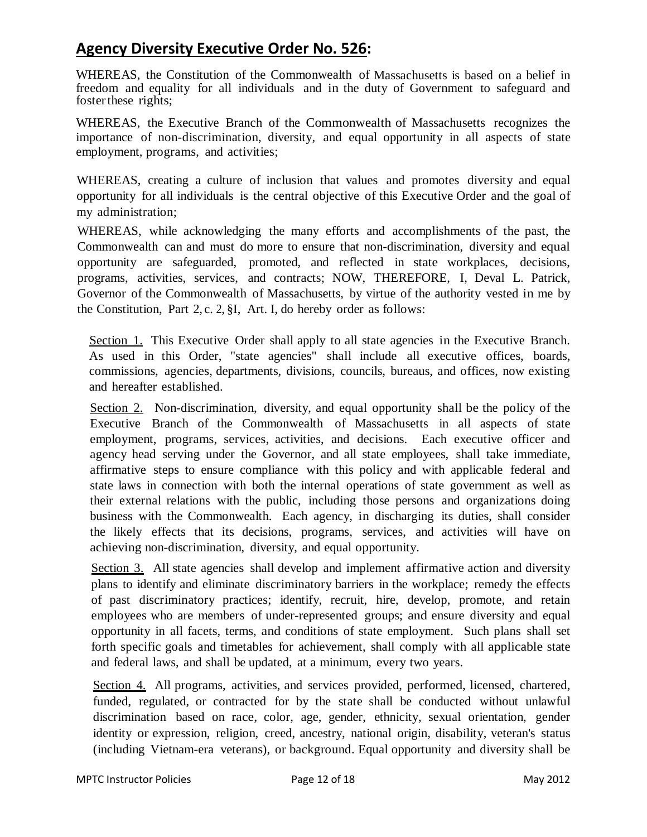# **Agency Diversity Executive Order No. 526:**

WHEREAS, the Constitution of the Commonwealth of Massachusetts is based on a belief in freedom and equality for all individuals and in the duty of Government to safeguard and fosterthese rights;

WHEREAS, the Executive Branch of the Commonwealth of Massachusetts recognizes the importance of non-discrimination, diversity, and equal opportunity in all aspects of state employment, programs, and activities;

WHEREAS, creating a culture of inclusion that values and promotes diversity and equal opportunity for all individuals is the central objective of this Executive Order and the goal of my administration;

WHEREAS, while acknowledging the many efforts and accomplishments of the past, the Commonwealth can and must do more to ensure that non-discrimination, diversity and equal opportunity are safeguarded, promoted, and reflected in state workplaces, decisions, programs, activities, services, and contracts; NOW, THEREFORE, I, Deval L. Patrick, Governor of the Commonwealth of Massachusetts, by virtue of the authority vested in me by the Constitution, Part 2, c. 2, §I, Art. I, do hereby order as follows:

Section 1. This Executive Order shall apply to all state agencies in the Executive Branch. As used in this Order, "state agencies" shall include all executive offices, boards, commissions, agencies, departments, divisions, councils, bureaus, and offices, now existing and hereafter established.

Section 2. Non-discrimination, diversity, and equal opportunity shall be the policy of the Executive Branch of the Commonwealth of Massachusetts in all aspects of state employment, programs, services, activities, and decisions. Each executive officer and agency head serving under the Governor, and all state employees, shall take immediate, affirmative steps to ensure compliance with this policy and with applicable federal and state laws in connection with both the internal operations of state government as well as their external relations with the public, including those persons and organizations doing business with the Commonwealth. Each agency, in discharging its duties, shall consider the likely effects that its decisions, programs, services, and activities will have on achieving non-discrimination, diversity, and equal opportunity.

Section 3. All state agencies shall develop and implement affirmative action and diversity plans to identify and eliminate discriminatory barriers in the workplace; remedy the effects of past discriminatory practices; identify, recruit, hire, develop, promote, and retain employees who are members of under-represented groups; and ensure diversity and equal opportunity in all facets, terms, and conditions of state employment. Such plans shall set forth specific goals and timetables for achievement, shall comply with all applicable state and federal laws, and shall be updated, at a minimum, every two years.

Section 4. All programs, activities, and services provided, performed, licensed, chartered, funded, regulated, or contracted for by the state shall be conducted without unlawful discrimination based on race, color, age, gender, ethnicity, sexual orientation, gender identity or expression, religion, creed, ancestry, national origin, disability, veteran's status (including Vietnam-era veterans), or background. Equal opportunity and diversity shall be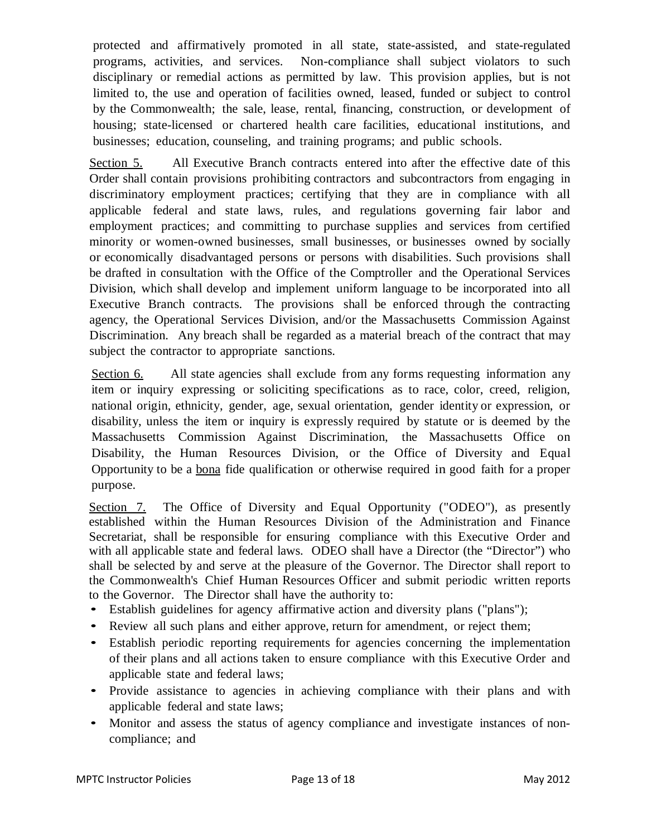protected and affirmatively promoted in all state, state-assisted, and state-regulated programs, activities, and services. Non-compliance shall subject violators to such disciplinary or remedial actions as permitted by law. This provision applies, but is not limited to, the use and operation of facilities owned, leased, funded or subject to control by the Commonwealth; the sale, lease, rental, financing, construction, or development of housing; state-licensed or chartered health care facilities, educational institutions, and businesses; education, counseling, and training programs; and public schools.

Section 5. All Executive Branch contracts entered into after the effective date of this Order shall contain provisions prohibiting contractors and subcontractors from engaging in discriminatory employment practices; certifying that they are in compliance with all applicable federal and state laws, rules, and regulations governing fair labor and employment practices; and committing to purchase supplies and services from certified minority or women-owned businesses, small businesses, or businesses owned by socially or economically disadvantaged persons or persons with disabilities. Such provisions shall be drafted in consultation with the Office of the Comptroller and the Operational Services Division, which shall develop and implement uniform language to be incorporated into all Executive Branch contracts. The provisions shall be enforced through the contracting agency, the Operational Services Division, and/or the Massachusetts Commission Against Discrimination. Any breach shall be regarded as a material breach of the contract that may subject the contractor to appropriate sanctions.

Section 6. All state agencies shall exclude from any forms requesting information any item or inquiry expressing or soliciting specifications as to race, color, creed, religion, national origin, ethnicity, gender, age, sexual orientation, gender identity or expression, or disability, unless the item or inquiry is expressly required by statute or is deemed by the Massachusetts Commission Against Discrimination, the Massachusetts Office on Disability, the Human Resources Division, or the Office of Diversity and Equal Opportunity to be a bona fide qualification or otherwise required in good faith for a proper purpose.

Section 7. The Office of Diversity and Equal Opportunity ("ODEO"), as presently established within the Human Resources Division of the Administration and Finance Secretariat, shall be responsible for ensuring compliance with this Executive Order and with all applicable state and federal laws. ODEO shall have a Director (the "Director") who shall be selected by and serve at the pleasure of the Governor. The Director shall report to the Commonwealth's Chief Human Resources Officer and submit periodic written reports to the Governor. The Director shall have the authority to:

- Establish guidelines for agency affirmative action and diversity plans ("plans");
- Review all such plans and either approve, return for amendment, or reject them;
- Establish periodic reporting requirements for agencies concerning the implementation of their plans and all actions taken to ensure compliance with this Executive Order and applicable state and federal laws;
- Provide assistance to agencies in achieving compliance with their plans and with applicable federal and state laws;
- Monitor and assess the status of agency compliance and investigate instances of noncompliance; and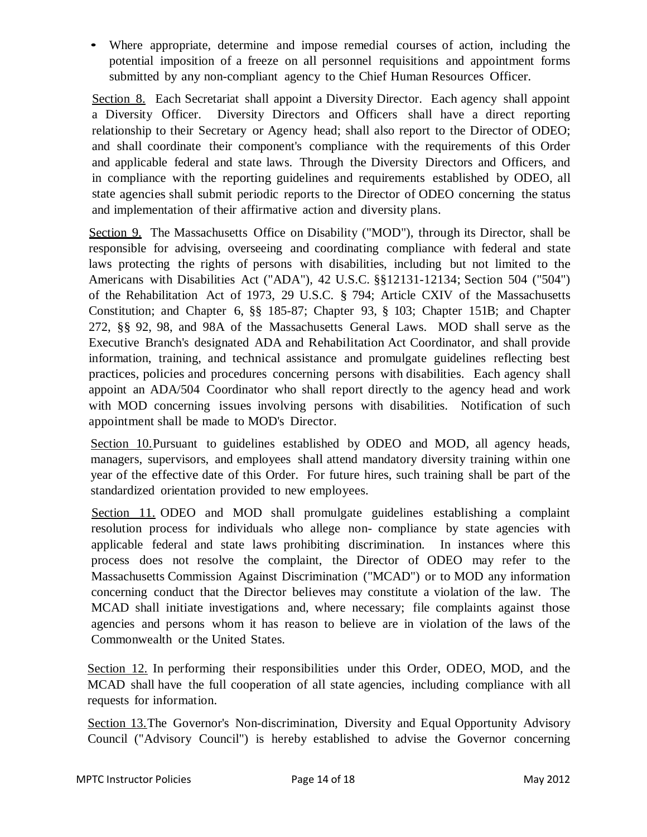• Where appropriate, determine and impose remedial courses of action, including the potential imposition of a freeze on all personnel requisitions and appointment forms submitted by any non-compliant agency to the Chief Human Resources Officer.

Section 8. Each Secretariat shall appoint a Diversity Director. Each agency shall appoint a Diversity Officer. Diversity Directors and Officers shall have a direct reporting relationship to their Secretary or Agency head; shall also report to the Director of ODEO; and shall coordinate their component's compliance with the requirements of this Order and applicable federal and state laws. Through the Diversity Directors and Officers, and in compliance with the reporting guidelines and requirements established by ODEO, all state agencies shall submit periodic reports to the Director of ODEO concerning the status and implementation of their affirmative action and diversity plans.

Section 9. The Massachusetts Office on Disability ("MOD"), through its Director, shall be responsible for advising, overseeing and coordinating compliance with federal and state laws protecting the rights of persons with disabilities, including but not limited to the Americans with Disabilities Act ("ADA"), 42 U.S.C. §§12131-12134; Section 504 ("504") of the Rehabilitation Act of 1973, 29 U.S.C. § 794; Article CXIV of the Massachusetts Constitution; and Chapter 6, §§ 185-87; Chapter 93, § 103; Chapter 151B; and Chapter 272, §§ 92, 98, and 98A of the Massachusetts General Laws. MOD shall serve as the Executive Branch's designated ADA and Rehabilitation Act Coordinator, and shall provide information, training, and technical assistance and promulgate guidelines reflecting best practices, policies and procedures concerning persons with disabilities. Each agency shall appoint an ADA/504 Coordinator who shall report directly to the agency head and work with MOD concerning issues involving persons with disabilities. Notification of such appointment shall be made to MOD's Director.

Section 10.Pursuant to guidelines established by ODEO and MOD, all agency heads, managers, supervisors, and employees shall attend mandatory diversity training within one year of the effective date of this Order. For future hires, such training shall be part of the standardized orientation provided to new employees.

Section 11. ODEO and MOD shall promulgate guidelines establishing a complaint resolution process for individuals who allege non- compliance by state agencies with applicable federal and state laws prohibiting discrimination. In instances where this process does not resolve the complaint, the Director of ODEO may refer to the Massachusetts Commission Against Discrimination ("MCAD") or to MOD any information concerning conduct that the Director believes may constitute a violation of the law. The MCAD shall initiate investigations and, where necessary; file complaints against those agencies and persons whom it has reason to believe are in violation of the laws of the Commonwealth or the United States.

Section 12. In performing their responsibilities under this Order, ODEO, MOD, and the MCAD shall have the full cooperation of all state agencies, including compliance with all requests for information.

Section 13.The Governor's Non-discrimination, Diversity and Equal Opportunity Advisory Council ("Advisory Council") is hereby established to advise the Governor concerning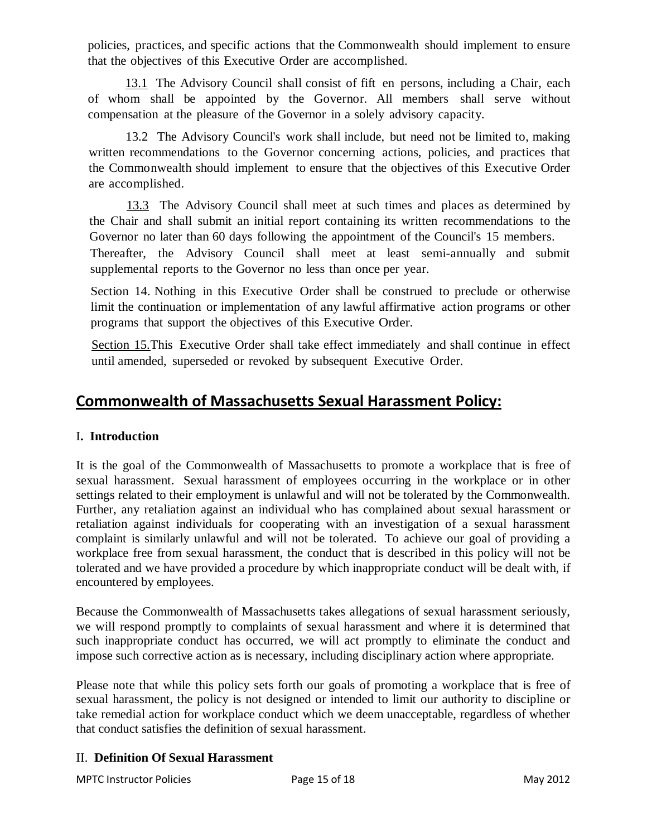policies, practices, and specific actions that the Commonwealth should implement to ensure that the objectives of this Executive Order are accomplished.

13.1 The Advisory Council shall consist of fift en persons, including a Chair, each of whom shall be appointed by the Governor. All members shall serve without compensation at the pleasure of the Governor in a solely advisory capacity.

13.2 The Advisory Council's work shall include, but need not be limited to, making written recommendations to the Governor concerning actions, policies, and practices that the Commonwealth should implement to ensure that the objectives of this Executive Order are accomplished.

13.3 The Advisory Council shall meet at such times and places as determined by the Chair and shall submit an initial report containing its written recommendations to the Governor no later than 60 days following the appointment of the Council's 15 members.

Thereafter, the Advisory Council shall meet at least semi-annually and submit supplemental reports to the Governor no less than once per year.

Section 14. Nothing in this Executive Order shall be construed to preclude or otherwise limit the continuation or implementation of any lawful affirmative action programs or other programs that support the objectives of this Executive Order.

Section 15.This Executive Order shall take effect immediately and shall continue in effect until amended, superseded or revoked by subsequent Executive Order.

# **Commonwealth of Massachusetts Sexual Harassment Policy:**

### I**. Introduction**

It is the goal of the Commonwealth of Massachusetts to promote a workplace that is free of sexual harassment. Sexual harassment of employees occurring in the workplace or in other settings related to their employment is unlawful and will not be tolerated by the Commonwealth. Further, any retaliation against an individual who has complained about sexual harassment or retaliation against individuals for cooperating with an investigation of a sexual harassment complaint is similarly unlawful and will not be tolerated. To achieve our goal of providing a workplace free from sexual harassment, the conduct that is described in this policy will not be tolerated and we have provided a procedure by which inappropriate conduct will be dealt with, if encountered by employees.

Because the Commonwealth of Massachusetts takes allegations of sexual harassment seriously, we will respond promptly to complaints of sexual harassment and where it is determined that such inappropriate conduct has occurred, we will act promptly to eliminate the conduct and impose such corrective action as is necessary, including disciplinary action where appropriate.

Please note that while this policy sets forth our goals of promoting a workplace that is free of sexual harassment, the policy is not designed or intended to limit our authority to discipline or take remedial action for workplace conduct which we deem unacceptable, regardless of whether that conduct satisfies the definition of sexual harassment.

### II. **Definition Of Sexual Harassment**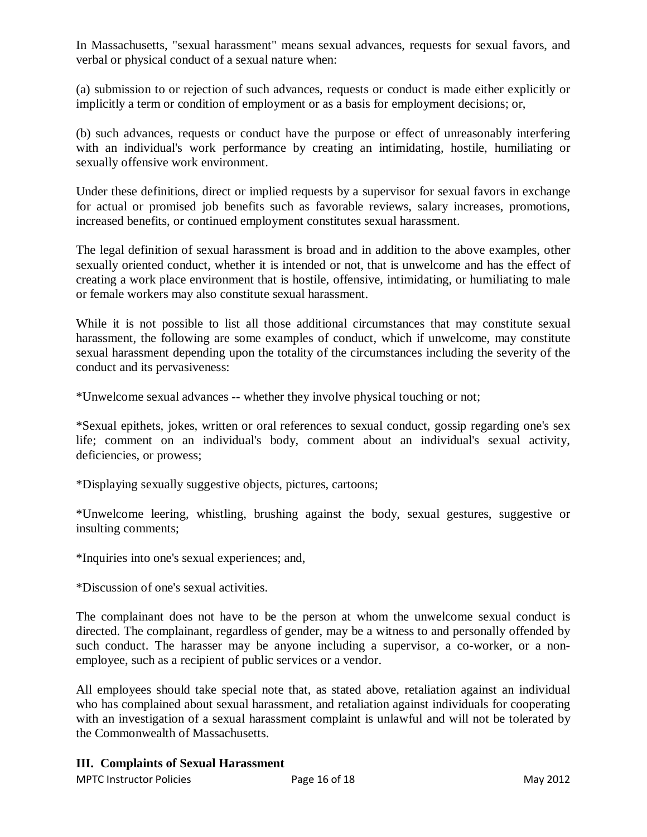In Massachusetts, "sexual harassment" means sexual advances, requests for sexual favors, and verbal or physical conduct of a sexual nature when:

(a) submission to or rejection of such advances, requests or conduct is made either explicitly or implicitly a term or condition of employment or as a basis for employment decisions; or,

(b) such advances, requests or conduct have the purpose or effect of unreasonably interfering with an individual's work performance by creating an intimidating, hostile, humiliating or sexually offensive work environment.

Under these definitions, direct or implied requests by a supervisor for sexual favors in exchange for actual or promised job benefits such as favorable reviews, salary increases, promotions, increased benefits, or continued employment constitutes sexual harassment.

The legal definition of sexual harassment is broad and in addition to the above examples, other sexually oriented conduct, whether it is intended or not, that is unwelcome and has the effect of creating a work place environment that is hostile, offensive, intimidating, or humiliating to male or female workers may also constitute sexual harassment.

While it is not possible to list all those additional circumstances that may constitute sexual harassment, the following are some examples of conduct, which if unwelcome, may constitute sexual harassment depending upon the totality of the circumstances including the severity of the conduct and its pervasiveness:

\*Unwelcome sexual advances -- whether they involve physical touching or not;

\*Sexual epithets, jokes, written or oral references to sexual conduct, gossip regarding one's sex life; comment on an individual's body, comment about an individual's sexual activity, deficiencies, or prowess;

\*Displaying sexually suggestive objects, pictures, cartoons;

\*Unwelcome leering, whistling, brushing against the body, sexual gestures, suggestive or insulting comments;

\*Inquiries into one's sexual experiences; and,

\*Discussion of one's sexual activities.

The complainant does not have to be the person at whom the unwelcome sexual conduct is directed. The complainant, regardless of gender, may be a witness to and personally offended by such conduct. The harasser may be anyone including a supervisor, a co-worker, or a nonemployee, such as a recipient of public services or a vendor.

All employees should take special note that, as stated above, retaliation against an individual who has complained about sexual harassment, and retaliation against individuals for cooperating with an investigation of a sexual harassment complaint is unlawful and will not be tolerated by the Commonwealth of Massachusetts.

### **III. Complaints of Sexual Harassment**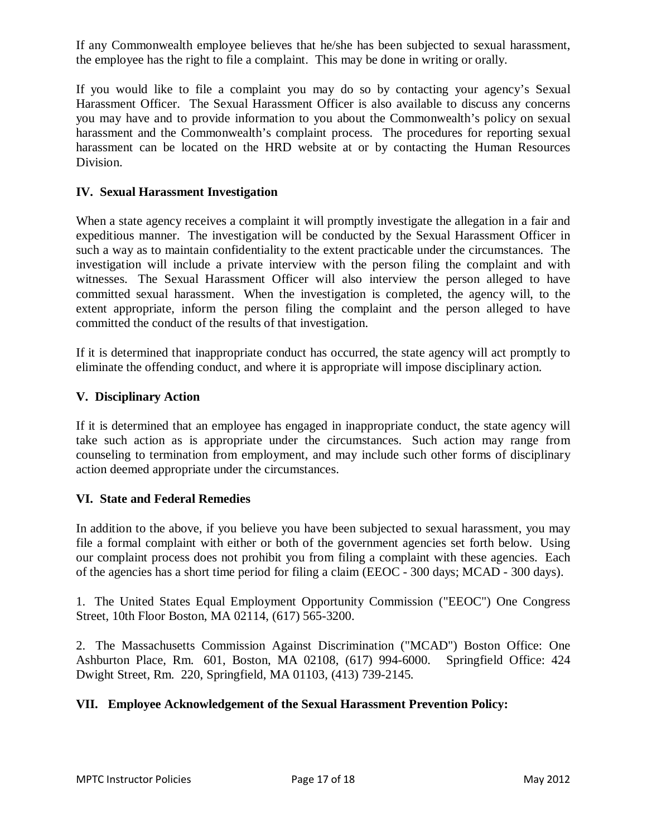If any Commonwealth employee believes that he/she has been subjected to sexual harassment, the employee has the right to file a complaint. This may be done in writing or orally.

If you would like to file a complaint you may do so by contacting your agency's Sexual Harassment Officer. The Sexual Harassment Officer is also available to discuss any concerns you may have and to provide information to you about the Commonwealth's policy on sexual harassment and the Commonwealth's complaint process. The procedures for reporting sexual harassment can be located on the HRD website at or by contacting the Human Resources Division.

#### **IV. Sexual Harassment Investigation**

When a state agency receives a complaint it will promptly investigate the allegation in a fair and expeditious manner. The investigation will be conducted by the Sexual Harassment Officer in such a way as to maintain confidentiality to the extent practicable under the circumstances. The investigation will include a private interview with the person filing the complaint and with witnesses. The Sexual Harassment Officer will also interview the person alleged to have committed sexual harassment. When the investigation is completed, the agency will, to the extent appropriate, inform the person filing the complaint and the person alleged to have committed the conduct of the results of that investigation.

If it is determined that inappropriate conduct has occurred, the state agency will act promptly to eliminate the offending conduct, and where it is appropriate will impose disciplinary action.

#### **V. Disciplinary Action**

If it is determined that an employee has engaged in inappropriate conduct, the state agency will take such action as is appropriate under the circumstances. Such action may range from counseling to termination from employment, and may include such other forms of disciplinary action deemed appropriate under the circumstances.

#### **VI. State and Federal Remedies**

In addition to the above, if you believe you have been subjected to sexual harassment, you may file a formal complaint with either or both of the government agencies set forth below. Using our complaint process does not prohibit you from filing a complaint with these agencies. Each of the agencies has a short time period for filing a claim (EEOC - 300 days; MCAD - 300 days).

1. The United States Equal Employment Opportunity Commission ("EEOC") One Congress Street, 10th Floor Boston, MA 02114, (617) 565-3200.

2. The Massachusetts Commission Against Discrimination ("MCAD") Boston Office: One Ashburton Place, Rm. 601, Boston, MA 02108, (617) 994-6000. Springfield Office: 424 Dwight Street, Rm. 220, Springfield, MA 01103, (413) 739-2145.

#### **VII. Employee Acknowledgement of the Sexual Harassment Prevention Policy:**